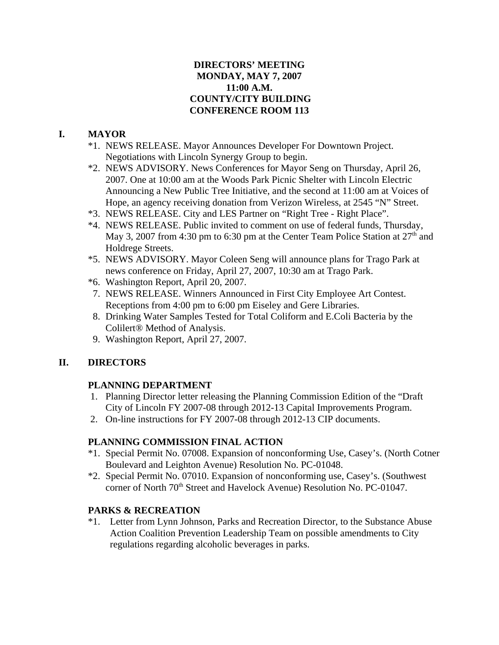## **DIRECTORS' MEETING MONDAY, MAY 7, 2007 11:00 A.M. COUNTY/CITY BUILDING CONFERENCE ROOM 113**

## **I. MAYOR**

- \*1. NEWS RELEASE. Mayor Announces Developer For Downtown Project. Negotiations with Lincoln Synergy Group to begin.
- \*2. NEWS ADVISORY. News Conferences for Mayor Seng on Thursday, April 26, 2007. One at 10:00 am at the Woods Park Picnic Shelter with Lincoln Electric Announcing a New Public Tree Initiative, and the second at 11:00 am at Voices of Hope, an agency receiving donation from Verizon Wireless, at 2545 "N" Street.
- \*3. NEWS RELEASE. City and LES Partner on "Right Tree Right Place".
- \*4. NEWS RELEASE. Public invited to comment on use of federal funds, Thursday, May 3, 2007 from 4:30 pm to 6:30 pm at the Center Team Police Station at  $27<sup>th</sup>$  and Holdrege Streets.
- \*5. NEWS ADVISORY. Mayor Coleen Seng will announce plans for Trago Park at news conference on Friday, April 27, 2007, 10:30 am at Trago Park.
- \*6. Washington Report, April 20, 2007.
- 7. NEWS RELEASE. Winners Announced in First City Employee Art Contest. Receptions from 4:00 pm to 6:00 pm Eiseley and Gere Libraries.
- 8. Drinking Water Samples Tested for Total Coliform and E.Coli Bacteria by the Colilert® Method of Analysis.
- 9. Washington Report, April 27, 2007.

## **II. DIRECTORS**

## **PLANNING DEPARTMENT**

- 1. Planning Director letter releasing the Planning Commission Edition of the "Draft City of Lincoln FY 2007-08 through 2012-13 Capital Improvements Program.
- 2. On-line instructions for FY 2007-08 through 2012-13 CIP documents.

## **PLANNING COMMISSION FINAL ACTION**

- \*1. Special Permit No. 07008. Expansion of nonconforming Use, Casey's. (North Cotner Boulevard and Leighton Avenue) Resolution No. PC-01048.
- \*2. Special Permit No. 07010. Expansion of nonconforming use, Casey's. (Southwest corner of North 70<sup>th</sup> Street and Havelock Avenue) Resolution No. PC-01047.

## **PARKS & RECREATION**

\*1. Letter from Lynn Johnson, Parks and Recreation Director, to the Substance Abuse Action Coalition Prevention Leadership Team on possible amendments to City regulations regarding alcoholic beverages in parks.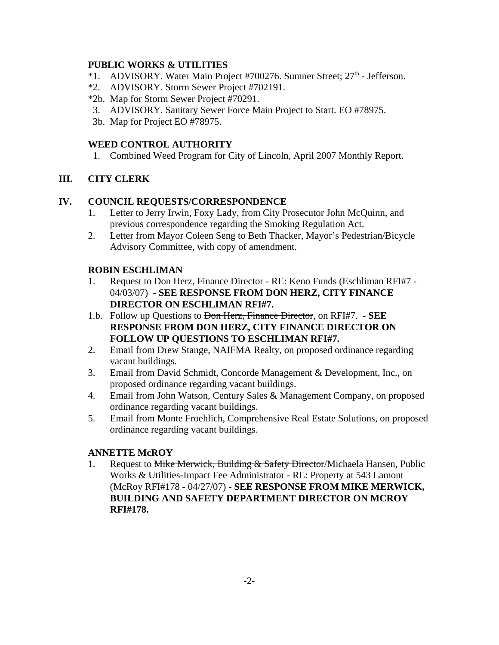## **PUBLIC WORKS & UTILITIES**

- \*1. ADVISORY. Water Main Project #700276. Sumner Street;  $27<sup>th</sup>$  Jefferson.
- \*2. ADVISORY. Storm Sewer Project #702191.
- \*2b. Map for Storm Sewer Project #70291.
- 3. ADVISORY. Sanitary Sewer Force Main Project to Start. EO #78975.
- 3b. Map for Project EO #78975.

### **WEED CONTROL AUTHORITY**

1. Combined Weed Program for City of Lincoln, April 2007 Monthly Report.

## **III. CITY CLERK**

## **IV. COUNCIL REQUESTS/CORRESPONDENCE**

- 1. Letter to Jerry Irwin, Foxy Lady, from City Prosecutor John McQuinn, and previous correspondence regarding the Smoking Regulation Act.
- 2. Letter from Mayor Coleen Seng to Beth Thacker, Mayor's Pedestrian/Bicycle Advisory Committee, with copy of amendment.

## **ROBIN ESCHLIMAN**

- 1. Request to Don Herz, Finance Director RE: Keno Funds (Eschliman RFI#7 -04/03/07) **- SEE RESPONSE FROM DON HERZ, CITY FINANCE DIRECTOR ON ESCHLIMAN RFI#7.**
- 1.b. Follow up Questions to Don Herz, Finance Director, on RFI#7.  **SEE RESPONSE FROM DON HERZ, CITY FINANCE DIRECTOR ON FOLLOW UP QUESTIONS TO ESCHLIMAN RFI#7.**
- 2. Email from Drew Stange, NAIFMA Realty, on proposed ordinance regarding vacant buildings.
- 3. Email from David Schmidt, Concorde Management & Development, Inc., on proposed ordinance regarding vacant buildings.
- 4. Email from John Watson, Century Sales & Management Company, on proposed ordinance regarding vacant buildings.
- 5. Email from Monte Froehlich, Comprehensive Real Estate Solutions, on proposed ordinance regarding vacant buildings.

## **ANNETTE McROY**

1. Request to Mike Merwick, Building & Safety Director/Michaela Hansen, Public Works & Utilities-Impact Fee Administrator - RE: Property at 543 Lamont (McRoy RFI#178 - 04/27/07) **- SEE RESPONSE FROM MIKE MERWICK, BUILDING AND SAFETY DEPARTMENT DIRECTOR ON MCROY RFI#178.**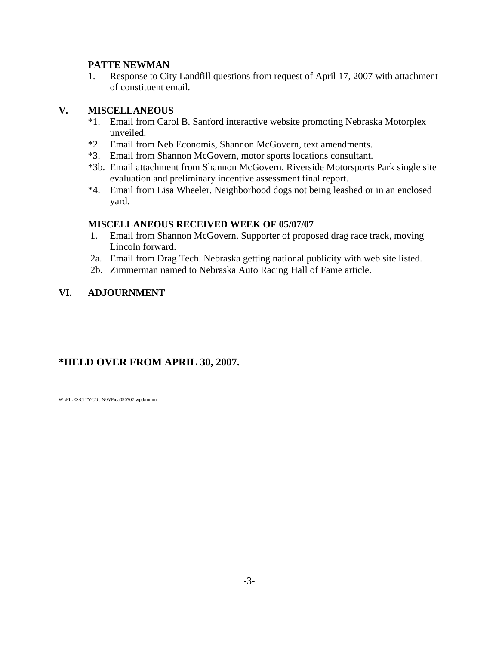## **PATTE NEWMAN**

1. Response to City Landfill questions from request of April 17, 2007 with attachment of constituent email.

## **V. MISCELLANEOUS**

- \*1. Email from Carol B. Sanford interactive website promoting Nebraska Motorplex unveiled.
- \*2. Email from Neb Economis, Shannon McGovern, text amendments.
- \*3. Email from Shannon McGovern, motor sports locations consultant.
- \*3b. Email attachment from Shannon McGovern. Riverside Motorsports Park single site evaluation and preliminary incentive assessment final report.
- \*4. Email from Lisa Wheeler. Neighborhood dogs not being leashed or in an enclosed yard.

### **MISCELLANEOUS RECEIVED WEEK OF 05/07/07**

- 1. Email from Shannon McGovern. Supporter of proposed drag race track, moving Lincoln forward.
- 2a. Email from Drag Tech. Nebraska getting national publicity with web site listed.
- 2b. Zimmerman named to Nebraska Auto Racing Hall of Fame article.

## **VI. ADJOURNMENT**

# **\*HELD OVER FROM APRIL 30, 2007.**

W:\FILES\CITYCOUN\WP\da050707.wpd/mmm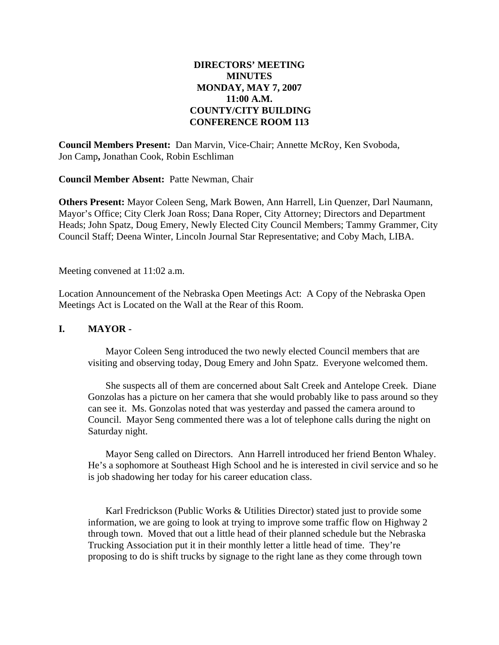## **DIRECTORS' MEETING MINUTES MONDAY, MAY 7, 2007 11:00 A.M. COUNTY/CITY BUILDING CONFERENCE ROOM 113**

**Council Members Present:** Dan Marvin, Vice-Chair; Annette McRoy, Ken Svoboda, Jon Camp**,** Jonathan Cook, Robin Eschliman

**Council Member Absent:** Patte Newman, Chair

**Others Present:** Mayor Coleen Seng, Mark Bowen, Ann Harrell, Lin Quenzer, Darl Naumann, Mayor's Office; City Clerk Joan Ross; Dana Roper, City Attorney; Directors and Department Heads; John Spatz, Doug Emery, Newly Elected City Council Members; Tammy Grammer, City Council Staff; Deena Winter, Lincoln Journal Star Representative; and Coby Mach, LIBA.

Meeting convened at 11:02 a.m.

Location Announcement of the Nebraska Open Meetings Act: A Copy of the Nebraska Open Meetings Act is Located on the Wall at the Rear of this Room.

### **I. MAYOR -**

Mayor Coleen Seng introduced the two newly elected Council members that are visiting and observing today, Doug Emery and John Spatz. Everyone welcomed them.

She suspects all of them are concerned about Salt Creek and Antelope Creek. Diane Gonzolas has a picture on her camera that she would probably like to pass around so they can see it. Ms. Gonzolas noted that was yesterday and passed the camera around to Council. Mayor Seng commented there was a lot of telephone calls during the night on Saturday night.

Mayor Seng called on Directors. Ann Harrell introduced her friend Benton Whaley. He's a sophomore at Southeast High School and he is interested in civil service and so he is job shadowing her today for his career education class.

Karl Fredrickson (Public Works & Utilities Director) stated just to provide some information, we are going to look at trying to improve some traffic flow on Highway 2 through town. Moved that out a little head of their planned schedule but the Nebraska Trucking Association put it in their monthly letter a little head of time. They're proposing to do is shift trucks by signage to the right lane as they come through town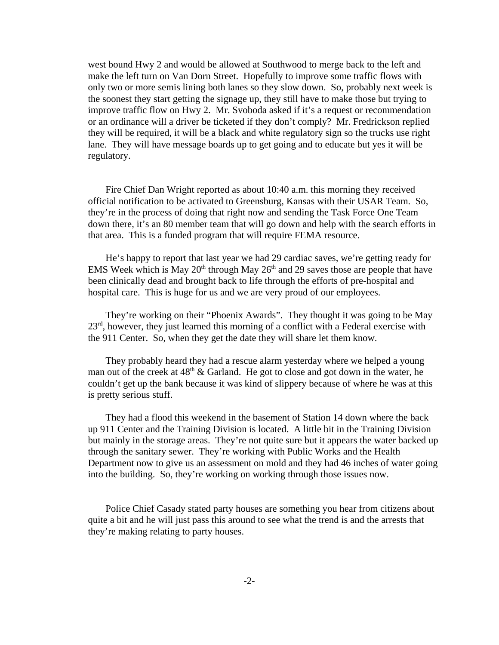west bound Hwy 2 and would be allowed at Southwood to merge back to the left and make the left turn on Van Dorn Street. Hopefully to improve some traffic flows with only two or more semis lining both lanes so they slow down. So, probably next week is the soonest they start getting the signage up, they still have to make those but trying to improve traffic flow on Hwy 2. Mr. Svoboda asked if it's a request or recommendation or an ordinance will a driver be ticketed if they don't comply? Mr. Fredrickson replied they will be required, it will be a black and white regulatory sign so the trucks use right lane. They will have message boards up to get going and to educate but yes it will be regulatory.

Fire Chief Dan Wright reported as about 10:40 a.m. this morning they received official notification to be activated to Greensburg, Kansas with their USAR Team. So, they're in the process of doing that right now and sending the Task Force One Team down there, it's an 80 member team that will go down and help with the search efforts in that area. This is a funded program that will require FEMA resource.

He's happy to report that last year we had 29 cardiac saves, we're getting ready for EMS Week which is May  $20<sup>th</sup>$  through May  $26<sup>th</sup>$  and 29 saves those are people that have been clinically dead and brought back to life through the efforts of pre-hospital and hospital care. This is huge for us and we are very proud of our employees.

They're working on their "Phoenix Awards". They thought it was going to be May 23<sup>rd</sup>, however, they just learned this morning of a conflict with a Federal exercise with the 911 Center. So, when they get the date they will share let them know.

They probably heard they had a rescue alarm yesterday where we helped a young man out of the creek at  $48<sup>th</sup>$  & Garland. He got to close and got down in the water, he couldn't get up the bank because it was kind of slippery because of where he was at this is pretty serious stuff.

They had a flood this weekend in the basement of Station 14 down where the back up 911 Center and the Training Division is located. A little bit in the Training Division but mainly in the storage areas. They're not quite sure but it appears the water backed up through the sanitary sewer. They're working with Public Works and the Health Department now to give us an assessment on mold and they had 46 inches of water going into the building. So, they're working on working through those issues now.

Police Chief Casady stated party houses are something you hear from citizens about quite a bit and he will just pass this around to see what the trend is and the arrests that they're making relating to party houses.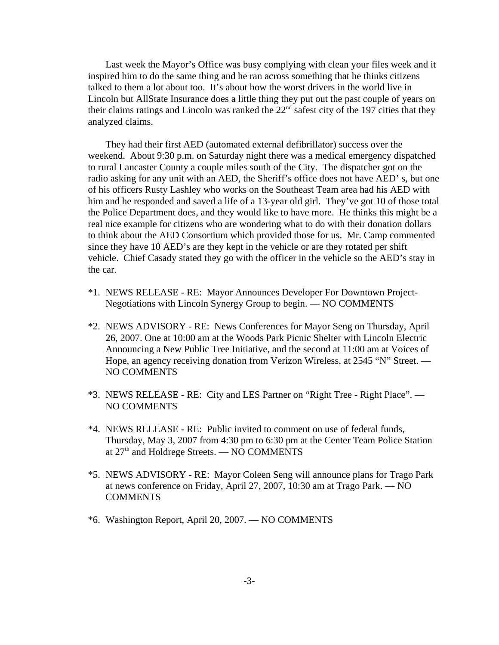Last week the Mayor's Office was busy complying with clean your files week and it inspired him to do the same thing and he ran across something that he thinks citizens talked to them a lot about too. It's about how the worst drivers in the world live in Lincoln but AllState Insurance does a little thing they put out the past couple of years on their claims ratings and Lincoln was ranked the 22nd safest city of the 197 cities that they analyzed claims.

They had their first AED (automated external defibrillator) success over the weekend. About 9:30 p.m. on Saturday night there was a medical emergency dispatched to rural Lancaster County a couple miles south of the City. The dispatcher got on the radio asking for any unit with an AED, the Sheriff's office does not have AED' s, but one of his officers Rusty Lashley who works on the Southeast Team area had his AED with him and he responded and saved a life of a 13-year old girl. They've got 10 of those total the Police Department does, and they would like to have more. He thinks this might be a real nice example for citizens who are wondering what to do with their donation dollars to think about the AED Consortium which provided those for us. Mr. Camp commented since they have 10 AED's are they kept in the vehicle or are they rotated per shift vehicle. Chief Casady stated they go with the officer in the vehicle so the AED's stay in the car.

- \*1. NEWS RELEASE RE: Mayor Announces Developer For Downtown Project-Negotiations with Lincoln Synergy Group to begin. — NO COMMENTS
- \*2. NEWS ADVISORY RE: News Conferences for Mayor Seng on Thursday, April 26, 2007. One at 10:00 am at the Woods Park Picnic Shelter with Lincoln Electric Announcing a New Public Tree Initiative, and the second at 11:00 am at Voices of Hope, an agency receiving donation from Verizon Wireless, at 2545 "N" Street. — NO COMMENTS
- \*3. NEWS RELEASE RE: City and LES Partner on "Right Tree Right Place". NO COMMENTS
- \*4. NEWS RELEASE RE: Public invited to comment on use of federal funds, Thursday, May 3, 2007 from 4:30 pm to 6:30 pm at the Center Team Police Station at  $27<sup>th</sup>$  and Holdrege Streets. — NO COMMENTS
- \*5. NEWS ADVISORY RE: Mayor Coleen Seng will announce plans for Trago Park at news conference on Friday, April 27, 2007, 10:30 am at Trago Park. — NO **COMMENTS**
- \*6. Washington Report, April 20, 2007. NO COMMENTS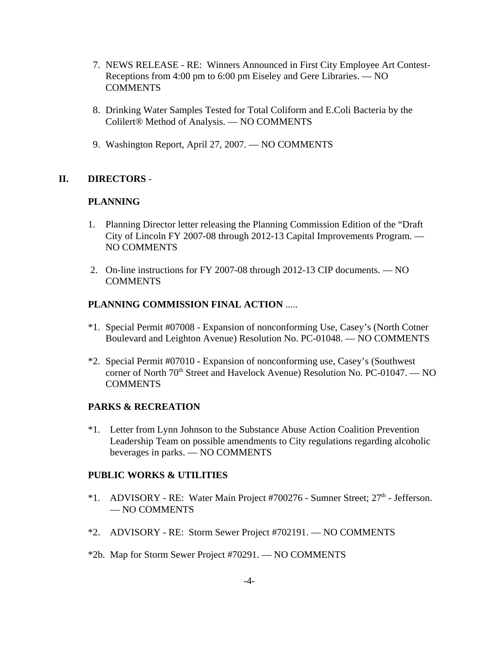- 7. NEWS RELEASE RE: Winners Announced in First City Employee Art Contest-Receptions from 4:00 pm to 6:00 pm Eiseley and Gere Libraries. — NO COMMENTS
- 8. Drinking Water Samples Tested for Total Coliform and E.Coli Bacteria by the Colilert® Method of Analysis. — NO COMMENTS
- 9. Washington Report, April 27, 2007. NO COMMENTS

## **II. DIRECTORS** -

## **PLANNING**

- 1. Planning Director letter releasing the Planning Commission Edition of the "Draft City of Lincoln FY 2007-08 through 2012-13 Capital Improvements Program. — NO COMMENTS
- 2. On-line instructions for FY 2007-08 through 2012-13 CIP documents. NO **COMMENTS**

## **PLANNING COMMISSION FINAL ACTION** .....

- \*1. Special Permit #07008 Expansion of nonconforming Use, Casey's (North Cotner Boulevard and Leighton Avenue) Resolution No. PC-01048. — NO COMMENTS
- \*2. Special Permit #07010 Expansion of nonconforming use, Casey's (Southwest corner of North  $70<sup>th</sup>$  Street and Havelock Avenue) Resolution No. PC-01047. — NO COMMENTS

## **PARKS & RECREATION**

\*1. Letter from Lynn Johnson to the Substance Abuse Action Coalition Prevention Leadership Team on possible amendments to City regulations regarding alcoholic beverages in parks. — NO COMMENTS

### **PUBLIC WORKS & UTILITIES**

- \*1. ADVISORY RE: Water Main Project #700276 Sumner Street; 27<sup>th</sup> Jefferson. — NO COMMENTS
- \*2. ADVISORY RE: Storm Sewer Project #702191. NO COMMENTS
- \*2b. Map for Storm Sewer Project #70291. NO COMMENTS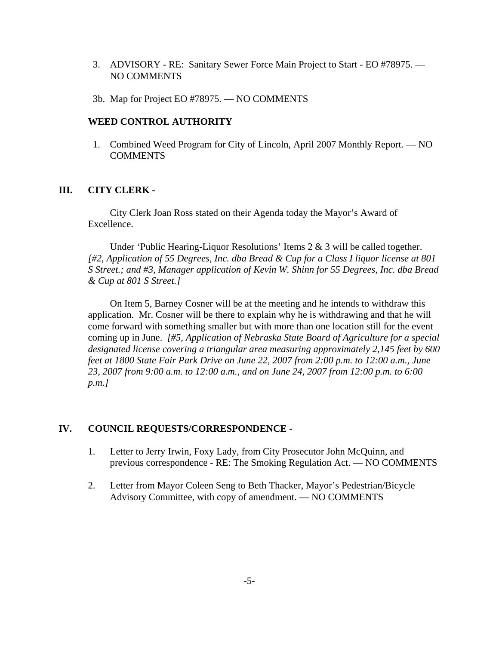- 3. ADVISORY RE: Sanitary Sewer Force Main Project to Start EO #78975. NO COMMENTS
- 3b. Map for Project EO #78975. NO COMMENTS

#### **WEED CONTROL AUTHORITY**

 1. Combined Weed Program for City of Lincoln, April 2007 Monthly Report. — NO COMMENTS

#### **III. CITY CLERK -**

City Clerk Joan Ross stated on their Agenda today the Mayor's Award of Excellence.

Under 'Public Hearing-Liquor Resolutions' Items 2 & 3 will be called together. *[#2, Application of 55 Degrees, Inc. dba Bread & Cup for a Class I liquor license at 801 S Street.; and #3, Manager application of Kevin W. Shinn for 55 Degrees, Inc. dba Bread & Cup at 801 S Street.]* 

On Item 5, Barney Cosner will be at the meeting and he intends to withdraw this application. Mr. Cosner will be there to explain why he is withdrawing and that he will come forward with something smaller but with more than one location still for the event coming up in June. *[#5, Application of Nebraska State Board of Agriculture for a special designated license covering a triangular area measuring approximately 2,145 feet by 600 feet at 1800 State Fair Park Drive on June 22, 2007 from 2:00 p.m. to 12:00 a.m., June 23, 2007 from 9:00 a.m. to 12:00 a.m., and on June 24, 2007 from 12:00 p.m. to 6:00 p.m.]* 

#### **IV. COUNCIL REQUESTS/CORRESPONDENCE** -

- 1. Letter to Jerry Irwin, Foxy Lady, from City Prosecutor John McQuinn, and previous correspondence - RE: The Smoking Regulation Act. — NO COMMENTS
- 2. Letter from Mayor Coleen Seng to Beth Thacker, Mayor's Pedestrian/Bicycle Advisory Committee, with copy of amendment. — NO COMMENTS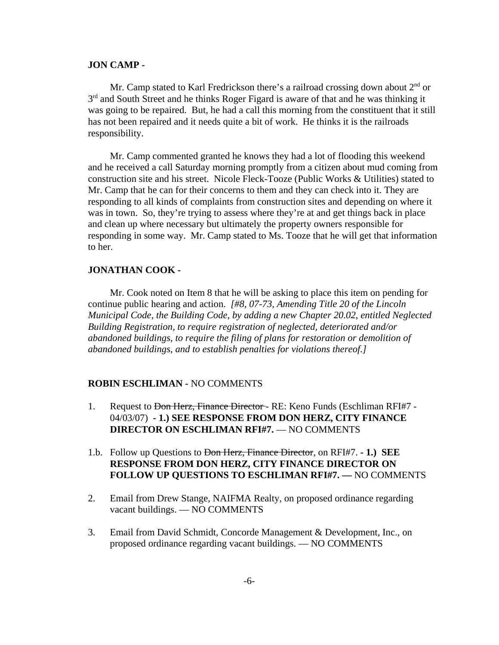#### **JON CAMP -**

Mr. Camp stated to Karl Fredrickson there's a railroad crossing down about  $2<sup>nd</sup>$  or  $3<sup>rd</sup>$  and South Street and he thinks Roger Figard is aware of that and he was thinking it was going to be repaired. But, he had a call this morning from the constituent that it still has not been repaired and it needs quite a bit of work. He thinks it is the railroads responsibility.

Mr. Camp commented granted he knows they had a lot of flooding this weekend and he received a call Saturday morning promptly from a citizen about mud coming from construction site and his street. Nicole Fleck-Tooze (Public Works & Utilities) stated to Mr. Camp that he can for their concerns to them and they can check into it. They are responding to all kinds of complaints from construction sites and depending on where it was in town. So, they're trying to assess where they're at and get things back in place and clean up where necessary but ultimately the property owners responsible for responding in some way. Mr. Camp stated to Ms. Tooze that he will get that information to her.

## **JONATHAN COOK -**

Mr. Cook noted on Item 8 that he will be asking to place this item on pending for continue public hearing and action. *[#8, 07-73, Amending Title 20 of the Lincoln Municipal Code, the Building Code, by adding a new Chapter 20.02, entitled Neglected Building Registration, to require registration of neglected, deteriorated and/or abandoned buildings, to require the filing of plans for restoration or demolition of abandoned buildings, and to establish penalties for violations thereof.]* 

#### **ROBIN ESCHLIMAN -** NO COMMENTS

- 1. Request to <del>Don Herz, Finance Director</del> RE: Keno Funds (Eschliman RFI#7 -04/03/07) **- 1.) SEE RESPONSE FROM DON HERZ, CITY FINANCE DIRECTOR ON ESCHLIMAN RFI#7.** — NO COMMENTS
- 1.b. Follow up Questions to Don Herz, Finance Director, on RFI#7. **1.) SEE RESPONSE FROM DON HERZ, CITY FINANCE DIRECTOR ON FOLLOW UP QUESTIONS TO ESCHLIMAN RFI#7. —** NO COMMENTS
- 2. Email from Drew Stange, NAIFMA Realty, on proposed ordinance regarding vacant buildings. — NO COMMENTS
- 3. Email from David Schmidt, Concorde Management & Development, Inc., on proposed ordinance regarding vacant buildings. — NO COMMENTS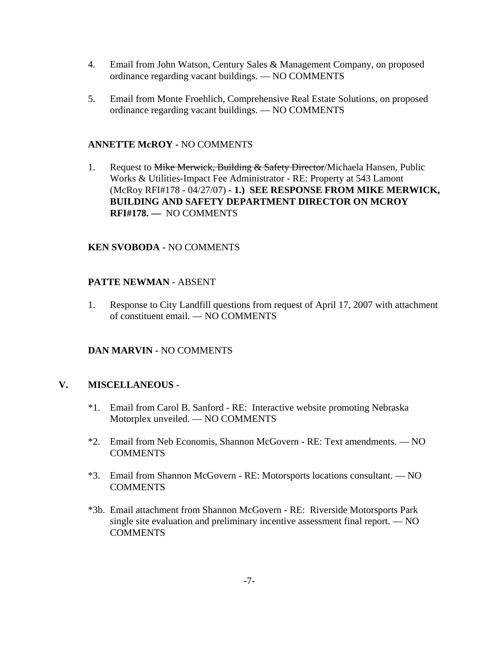- 4. Email from John Watson, Century Sales & Management Company, on proposed ordinance regarding vacant buildings. — NO COMMENTS
- 5. Email from Monte Froehlich, Comprehensive Real Estate Solutions, on proposed ordinance regarding vacant buildings. — NO COMMENTS

### **ANNETTE McROY -** NO COMMENTS

1. Request to Mike Merwick, Building & Safety Director/Michaela Hansen, Public Works & Utilities-Impact Fee Administrator - RE: Property at 543 Lamont (McRoy RFI#178 - 04/27/07) **- 1.) SEE RESPONSE FROM MIKE MERWICK, BUILDING AND SAFETY DEPARTMENT DIRECTOR ON MCROY RFI#178. —** NO COMMENTS

## **KEN SVOBODA -** NO COMMENTS

## **PATTE NEWMAN** - ABSENT

1. Response to City Landfill questions from request of April 17, 2007 with attachment of constituent email. — NO COMMENTS

## **DAN MARVIN -** NO COMMENTS

### **V. MISCELLANEOUS -**

- \*1. Email from Carol B. Sanford RE: Interactive website promoting Nebraska Motorplex unveiled. — NO COMMENTS
- \*2. Email from Neb Economis, Shannon McGovern RE: Text amendments. NO **COMMENTS**
- \*3. Email from Shannon McGovern RE: Motorsports locations consultant. NO **COMMENTS**
- \*3b. Email attachment from Shannon McGovern RE: Riverside Motorsports Park single site evaluation and preliminary incentive assessment final report. — NO COMMENTS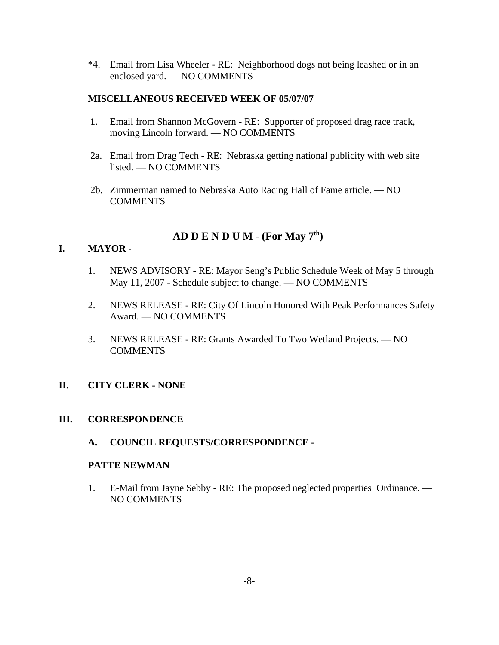\*4. Email from Lisa Wheeler - RE: Neighborhood dogs not being leashed or in an enclosed yard. — NO COMMENTS

## **MISCELLANEOUS RECEIVED WEEK OF 05/07/07**

- 1. Email from Shannon McGovern RE: Supporter of proposed drag race track, moving Lincoln forward. — NO COMMENTS
- 2a. Email from Drag Tech RE: Nebraska getting national publicity with web site listed. — NO COMMENTS
- 2b. Zimmerman named to Nebraska Auto Racing Hall of Fame article. NO **COMMENTS**

# **AD D E N D U M - (For May 7th)**

## **I. MAYOR -**

- 1. NEWS ADVISORY RE: Mayor Seng's Public Schedule Week of May 5 through May 11, 2007 - Schedule subject to change. — NO COMMENTS
- 2. NEWS RELEASE RE: City Of Lincoln Honored With Peak Performances Safety Award. — NO COMMENTS
- 3. NEWS RELEASE RE: Grants Awarded To Two Wetland Projects. NO COMMENTS

## **II. CITY CLERK - NONE**

### **III. CORRESPONDENCE**

**A. COUNCIL REQUESTS/CORRESPONDENCE -**

### **PATTE NEWMAN**

1. E-Mail from Jayne Sebby - RE: The proposed neglected properties Ordinance. — NO COMMENTS